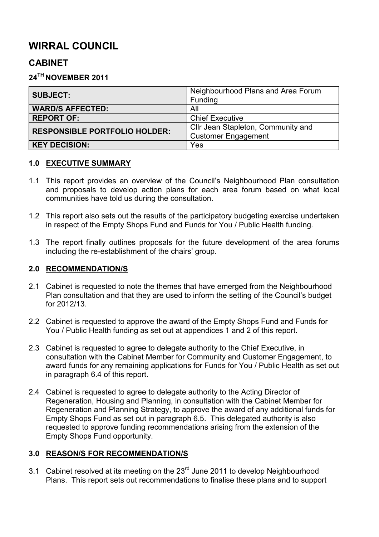# **WIRRAL COUNCIL**

# **CABINET**

## **24TH NOVEMBER 2011**

| <b>SUBJECT:</b>                      | Neighbourhood Plans and Area Forum<br>Funding |
|--------------------------------------|-----------------------------------------------|
| <b>WARD/S AFFECTED:</b>              | All                                           |
| <b>REPORT OF:</b>                    | <b>Chief Executive</b>                        |
|                                      |                                               |
| <b>RESPONSIBLE PORTFOLIO HOLDER:</b> | Cllr Jean Stapleton, Community and            |
|                                      | <b>Customer Engagement</b>                    |
| <b>KEY DECISION:</b>                 | Yes                                           |

### **1.0 EXECUTIVE SUMMARY**

- 1.1 This report provides an overview of the Council's Neighbourhood Plan consultation and proposals to develop action plans for each area forum based on what local communities have told us during the consultation.
- 1.2 This report also sets out the results of the participatory budgeting exercise undertaken in respect of the Empty Shops Fund and Funds for You / Public Health funding.
- 1.3 The report finally outlines proposals for the future development of the area forums including the re-establishment of the chairs' group.

### **2.0 RECOMMENDATION/S**

- 2.1 Cabinet is requested to note the themes that have emerged from the Neighbourhood Plan consultation and that they are used to inform the setting of the Council's budget for 2012/13.
- 2.2 Cabinet is requested to approve the award of the Empty Shops Fund and Funds for You / Public Health funding as set out at appendices 1 and 2 of this report.
- 2.3 Cabinet is requested to agree to delegate authority to the Chief Executive, in consultation with the Cabinet Member for Community and Customer Engagement, to award funds for any remaining applications for Funds for You / Public Health as set out in paragraph 6.4 of this report.
- 2.4 Cabinet is requested to agree to delegate authority to the Acting Director of Regeneration, Housing and Planning, in consultation with the Cabinet Member for Regeneration and Planning Strategy, to approve the award of any additional funds for Empty Shops Fund as set out in paragraph 6.5. This delegated authority is also requested to approve funding recommendations arising from the extension of the Empty Shops Fund opportunity.

### **3.0 REASON/S FOR RECOMMENDATION/S**

3.1 Cabinet resolved at its meeting on the  $23<sup>rd</sup>$  June 2011 to develop Neighbourhood Plans. This report sets out recommendations to finalise these plans and to support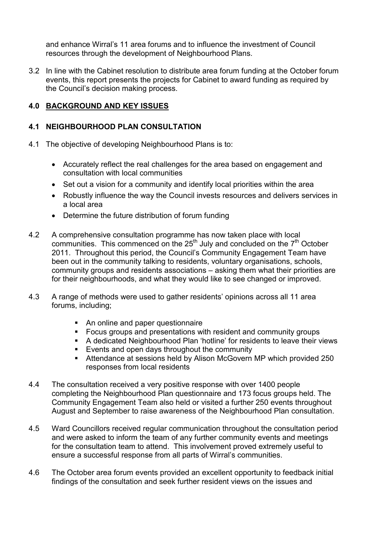and enhance Wirral's 11 area forums and to influence the investment of Council resources through the development of Neighbourhood Plans.

3.2 In line with the Cabinet resolution to distribute area forum funding at the October forum events, this report presents the projects for Cabinet to award funding as required by the Council's decision making process.

## **4.0 BACKGROUND AND KEY ISSUES**

### **4.1 NEIGHBOURHOOD PLAN CONSULTATION**

- 4.1 The objective of developing Neighbourhood Plans is to:
	- Accurately reflect the real challenges for the area based on engagement and consultation with local communities
	- Set out a vision for a community and identify local priorities within the area
	- Robustly influence the way the Council invests resources and delivers services in a local area
	- Determine the future distribution of forum funding
- 4.2 A comprehensive consultation programme has now taken place with local communities. This commenced on the  $25<sup>th</sup>$  July and concluded on the  $7<sup>th</sup>$  October 2011. Throughout this period, the Council's Community Engagement Team have been out in the community talking to residents, voluntary organisations, schools, community groups and residents associations – asking them what their priorities are for their neighbourhoods, and what they would like to see changed or improved.
- 4.3 A range of methods were used to gather residents' opinions across all 11 area forums, including;
	- An online and paper questionnaire
	- Focus groups and presentations with resident and community groups
	- A dedicated Neighbourhood Plan 'hotline' for residents to leave their views
	- Events and open days throughout the community
	- Attendance at sessions held by Alison McGovern MP which provided 250 responses from local residents
- 4.4 The consultation received a very positive response with over 1400 people completing the Neighbourhood Plan questionnaire and 173 focus groups held. The Community Engagement Team also held or visited a further 250 events throughout August and September to raise awareness of the Neighbourhood Plan consultation.
- 4.5 Ward Councillors received regular communication throughout the consultation period and were asked to inform the team of any further community events and meetings for the consultation team to attend. This involvement proved extremely useful to ensure a successful response from all parts of Wirral's communities.
- 4.6 The October area forum events provided an excellent opportunity to feedback initial findings of the consultation and seek further resident views on the issues and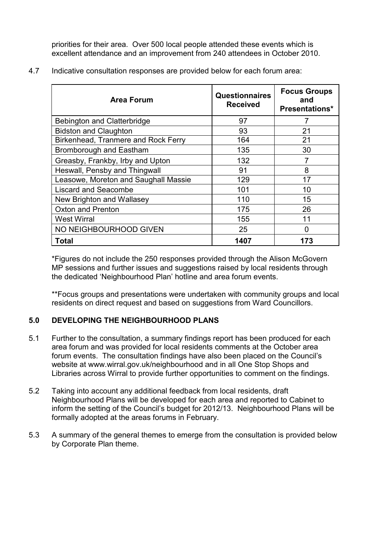priorities for their area. Over 500 local people attended these events which is excellent attendance and an improvement from 240 attendees in October 2010.

| <b>Area Forum</b>                    | Questionnaires<br><b>Received</b> | <b>Focus Groups</b><br>and<br><b>Presentations*</b> |
|--------------------------------------|-----------------------------------|-----------------------------------------------------|
| Bebington and Clatterbridge          | 97                                | 7                                                   |
| <b>Bidston and Claughton</b>         | 93                                | 21                                                  |
| Birkenhead, Tranmere and Rock Ferry  | 164                               | 21                                                  |
| Bromborough and Eastham              | 135                               | 30                                                  |
| Greasby, Frankby, Irby and Upton     | 132                               | 7                                                   |
| Heswall, Pensby and Thingwall        | 91                                | 8                                                   |
| Leasowe, Moreton and Saughall Massie | 129                               | 17                                                  |
| <b>Liscard and Seacombe</b>          | 101                               | 10                                                  |
| New Brighton and Wallasey            | 110                               | 15                                                  |
| <b>Oxton and Prenton</b>             | 175                               | 26                                                  |
| <b>West Wirral</b>                   | 155                               | 11                                                  |
| NO NEIGHBOURHOOD GIVEN               | 25                                | <sup>0</sup>                                        |
| Total                                | 1407                              | 173                                                 |

4.7 Indicative consultation responses are provided below for each forum area:

\*Figures do not include the 250 responses provided through the Alison McGovern MP sessions and further issues and suggestions raised by local residents through the dedicated 'Neighbourhood Plan' hotline and area forum events.

\*\*Focus groups and presentations were undertaken with community groups and local residents on direct request and based on suggestions from Ward Councillors.

# **5.0 DEVELOPING THE NEIGHBOURHOOD PLANS**

- 5.1 Further to the consultation, a summary findings report has been produced for each area forum and was provided for local residents comments at the October area forum events. The consultation findings have also been placed on the Council's website at www.wirral.gov.uk/neighbourhood and in all One Stop Shops and Libraries across Wirral to provide further opportunities to comment on the findings.
- 5.2 Taking into account any additional feedback from local residents, draft Neighbourhood Plans will be developed for each area and reported to Cabinet to inform the setting of the Council's budget for 2012/13. Neighbourhood Plans will be formally adopted at the areas forums in February.
- 5.3 A summary of the general themes to emerge from the consultation is provided below by Corporate Plan theme.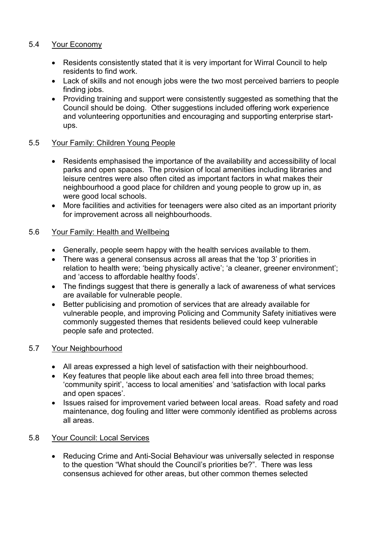## 5.4 Your Economy

- Residents consistently stated that it is very important for Wirral Council to help residents to find work.
- Lack of skills and not enough jobs were the two most perceived barriers to people finding jobs.
- Providing training and support were consistently suggested as something that the Council should be doing. Other suggestions included offering work experience and volunteering opportunities and encouraging and supporting enterprise startups.

## 5.5 Your Family: Children Young People

- Residents emphasised the importance of the availability and accessibility of local parks and open spaces. The provision of local amenities including libraries and leisure centres were also often cited as important factors in what makes their neighbourhood a good place for children and young people to grow up in, as were good local schools.
- More facilities and activities for teenagers were also cited as an important priority for improvement across all neighbourhoods.

## 5.6 Your Family: Health and Wellbeing

- Generally, people seem happy with the health services available to them.
- There was a general consensus across all areas that the 'top 3' priorities in relation to health were; 'being physically active'; 'a cleaner, greener environment'; and 'access to affordable healthy foods'.
- The findings suggest that there is generally a lack of awareness of what services are available for vulnerable people.
- Better publicising and promotion of services that are already available for vulnerable people, and improving Policing and Community Safety initiatives were commonly suggested themes that residents believed could keep vulnerable people safe and protected.

### 5.7 Your Neighbourhood

- All areas expressed a high level of satisfaction with their neighbourhood.
- Key features that people like about each area fell into three broad themes; 'community spirit', 'access to local amenities' and 'satisfaction with local parks and open spaces'.
- Issues raised for improvement varied between local areas. Road safety and road maintenance, dog fouling and litter were commonly identified as problems across all areas.

### 5.8 Your Council: Local Services

• Reducing Crime and Anti-Social Behaviour was universally selected in response to the question "What should the Council's priorities be?". There was less consensus achieved for other areas, but other common themes selected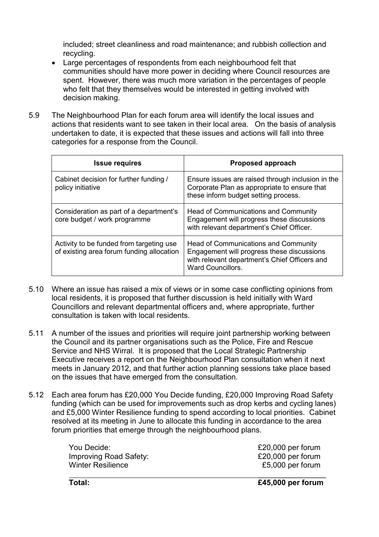included; street cleanliness and road maintenance; and rubbish collection and recycling.

- Large percentages of respondents from each neighbourhood felt that communities should have more power in deciding where Council resources are spent. However, there was much more variation in the percentages of people who felt that they themselves would be interested in getting involved with decision making.
- 5.9 The Neighbourhood Plan for each forum area will identify the local issues and actions that residents want to see taken in their local area. On the basis of analysis undertaken to date, it is expected that these issues and actions will fall into three categories for a response from the Council.

| <b>Issue requires</b>                                                                 | Proposed approach                                                                                                                                        |
|---------------------------------------------------------------------------------------|----------------------------------------------------------------------------------------------------------------------------------------------------------|
| Cabinet decision for further funding /<br>policy initiative                           | Ensure issues are raised through inclusion in the<br>Corporate Plan as appropriate to ensure that<br>these inform budget setting process.                |
| Consideration as part of a department's<br>core budget / work programme               | Head of Communications and Community<br>Engagement will progress these discussions<br>with relevant department's Chief Officer.                          |
| Activity to be funded from targeting use<br>of existing area forum funding allocation | Head of Communications and Community<br>Engagement will progress these discussions<br>with relevant department's Chief Officers and<br>Ward Councillors. |

- 5.10 Where an issue has raised a mix of views or in some case conflicting opinions from local residents, it is proposed that further discussion is held initially with Ward Councillors and relevant departmental officers and, where appropriate, further consultation is taken with local residents.
- 5.11 A number of the issues and priorities will require joint partnership working between the Council and its partner organisations such as the Police, Fire and Rescue Service and NHS Wirral. It is proposed that the Local Strategic Partnership Executive receives a report on the Neighbourhood Plan consultation when it next meets in January 2012, and that further action planning sessions take place based on the issues that have emerged from the consultation.
- 5.12 Each area forum has £20,000 You Decide funding, £20,000 Improving Road Safety funding (which can be used for improvements such as drop kerbs and cycling lanes) and £5,000 Winter Resilience funding to spend according to local priorities. Cabinet resolved at its meeting in June to allocate this funding in accordance to the area forum priorities that emerge through the neighbourhood plans.

| You Decide:            | £20,000 per forum |
|------------------------|-------------------|
| Improving Road Safety: | £20,000 per forum |
| Winter Resilience      | £5,000 per forum  |
|                        |                   |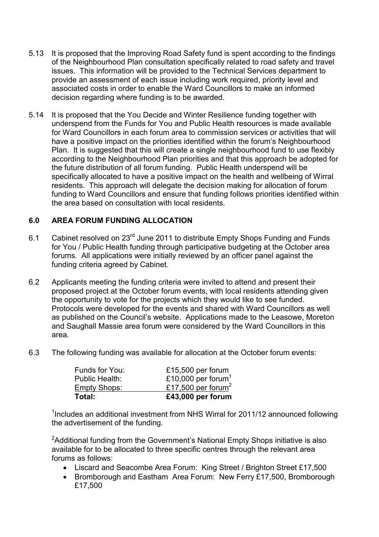- 5.13 It is proposed that the Improving Road Safety fund is spent according to the findings of the Neighbourhood Plan consultation specifically related to road safety and travel issues. This information will be provided to the Technical Services department to provide an assessment of each issue including work required, priority level and associated costs in order to enable the Ward Councillors to make an informed decision regarding where funding is to be awarded.
- 5.14 It is proposed that the You Decide and Winter Resilience funding together with underspend from the Funds for You and Public Health resources is made available for Ward Councillors in each forum area to commission services or activities that will have a positive impact on the priorities identified within the forum's Neighbourhood Plan. It is suggested that this will create a single neighbourhood fund to use flexibly according to the Neighbourhood Plan priorities and that this approach be adopted for the future distribution of all forum funding. Public Health underspend will be specifically allocated to have a positive impact on the health and wellbeing of Wirral residents. This approach will delegate the decision making for allocation of forum funding to Ward Councillors and ensure that funding follows priorities identified within the area based on consultation with local residents.

## **6.0 AREA FORUM FUNDING ALLOCATION**

- 6.1 Cabinet resolved on 23rd June 2011 to distribute Empty Shops Funding and Funds for You / Public Health funding through participative budgeting at the October area forums. All applications were initially reviewed by an officer panel against the funding criteria agreed by Cabinet.
- 6.2 Applicants meeting the funding criteria were invited to attend and present their proposed project at the October forum events, with local residents attending given the opportunity to vote for the projects which they would like to see funded. Protocols were developed for the events and shared with Ward Councillors as well as published on the Council's website. Applications made to the Leasowe, Moreton and Saughall Massie area forum were considered by the Ward Councillors in this area.
- 6.3 The following funding was available for allocation at the October forum events:

| Total:         | £43,000 per forum              |
|----------------|--------------------------------|
| Empty Shops:   | £17,500 per forum <sup>2</sup> |
| Public Health: | £10,000 per forum <sup>1</sup> |
| Funds for You: | £15,500 per forum              |

<sup>1</sup>Includes an additional investment from NHS Wirral for 2011/12 announced following the advertisement of the funding.

<sup>2</sup>Additional funding from the Government's National Empty Shops initiative is also available for to be allocated to three specific centres through the relevant area forums as follows:

- Liscard and Seacombe Area Forum: King Street / Brighton Street £17,500
- Bromborough and Eastham Area Forum: New Ferry £17,500, Bromborough £17,500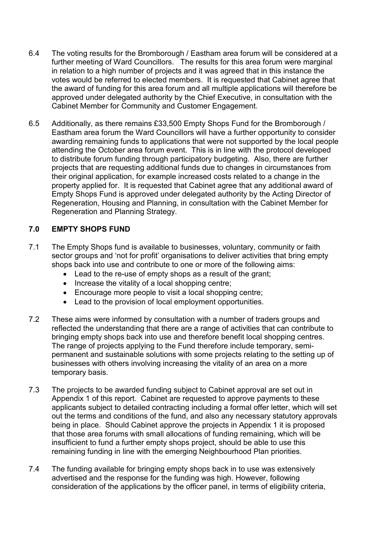- 6.4 The voting results for the Bromborough / Eastham area forum will be considered at a further meeting of Ward Councillors. The results for this area forum were marginal in relation to a high number of projects and it was agreed that in this instance the votes would be referred to elected members. It is requested that Cabinet agree that the award of funding for this area forum and all multiple applications will therefore be approved under delegated authority by the Chief Executive, in consultation with the Cabinet Member for Community and Customer Engagement.
- 6.5 Additionally, as there remains £33,500 Empty Shops Fund for the Bromborough / Eastham area forum the Ward Councillors will have a further opportunity to consider awarding remaining funds to applications that were not supported by the local people attending the October area forum event. This is in line with the protocol developed to distribute forum funding through participatory budgeting. Also, there are further projects that are requesting additional funds due to changes in circumstances from their original application, for example increased costs related to a change in the property applied for. It is requested that Cabinet agree that any additional award of Empty Shops Fund is approved under delegated authority by the Acting Director of Regeneration, Housing and Planning, in consultation with the Cabinet Member for Regeneration and Planning Strategy.

# **7.0 EMPTY SHOPS FUND**

- 7.1 The Empty Shops fund is available to businesses, voluntary, community or faith sector groups and 'not for profit' organisations to deliver activities that bring empty shops back into use and contribute to one or more of the following aims:
	- Lead to the re-use of empty shops as a result of the grant;
	- Increase the vitality of a local shopping centre;
	- Encourage more people to visit a local shopping centre;
	- Lead to the provision of local employment opportunities.
- 7.2 These aims were informed by consultation with a number of traders groups and reflected the understanding that there are a range of activities that can contribute to bringing empty shops back into use and therefore benefit local shopping centres. The range of projects applying to the Fund therefore include temporary, semipermanent and sustainable solutions with some projects relating to the setting up of businesses with others involving increasing the vitality of an area on a more temporary basis.
- 7.3 The projects to be awarded funding subject to Cabinet approval are set out in Appendix 1 of this report. Cabinet are requested to approve payments to these applicants subject to detailed contracting including a formal offer letter, which will set out the terms and conditions of the fund, and also any necessary statutory approvals being in place. Should Cabinet approve the projects in Appendix 1 it is proposed that those area forums with small allocations of funding remaining, which will be insufficient to fund a further empty shops project, should be able to use this remaining funding in line with the emerging Neighbourhood Plan priorities.
- 7.4 The funding available for bringing empty shops back in to use was extensively advertised and the response for the funding was high. However, following consideration of the applications by the officer panel, in terms of eligibility criteria,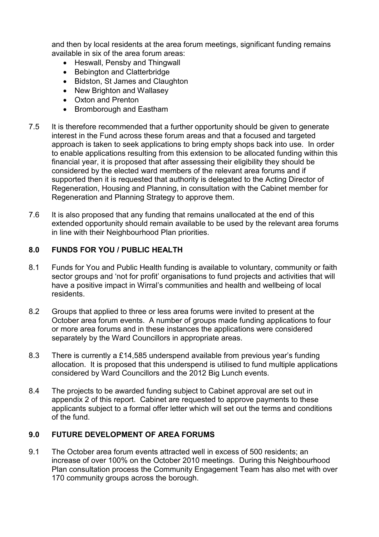and then by local residents at the area forum meetings, significant funding remains available in six of the area forum areas:

- Heswall, Pensby and Thingwall
- Bebington and Clatterbridge
- Bidston, St James and Claughton
- New Brighton and Wallasey
- Oxton and Prenton
- Bromborough and Eastham
- 7.5 It is therefore recommended that a further opportunity should be given to generate interest in the Fund across these forum areas and that a focused and targeted approach is taken to seek applications to bring empty shops back into use. In order to enable applications resulting from this extension to be allocated funding within this financial year, it is proposed that after assessing their eligibility they should be considered by the elected ward members of the relevant area forums and if supported then it is requested that authority is delegated to the Acting Director of Regeneration, Housing and Planning, in consultation with the Cabinet member for Regeneration and Planning Strategy to approve them.
- 7.6 It is also proposed that any funding that remains unallocated at the end of this extended opportunity should remain available to be used by the relevant area forums in line with their Neighbourhood Plan priorities.

#### **8.0 FUNDS FOR YOU / PUBLIC HEALTH**

- 8.1 Funds for You and Public Health funding is available to voluntary, community or faith sector groups and 'not for profit' organisations to fund projects and activities that will have a positive impact in Wirral's communities and health and wellbeing of local residents.
- 8.2 Groups that applied to three or less area forums were invited to present at the October area forum events. A number of groups made funding applications to four or more area forums and in these instances the applications were considered separately by the Ward Councillors in appropriate areas.
- 8.3 There is currently a £14,585 underspend available from previous year's funding allocation. It is proposed that this underspend is utilised to fund multiple applications considered by Ward Councillors and the 2012 Big Lunch events.
- 8.4 The projects to be awarded funding subject to Cabinet approval are set out in appendix 2 of this report. Cabinet are requested to approve payments to these applicants subject to a formal offer letter which will set out the terms and conditions of the fund.

### **9.0 FUTURE DEVELOPMENT OF AREA FORUMS**

9.1 The October area forum events attracted well in excess of 500 residents; an increase of over 100% on the October 2010 meetings. During this Neighbourhood Plan consultation process the Community Engagement Team has also met with over 170 community groups across the borough.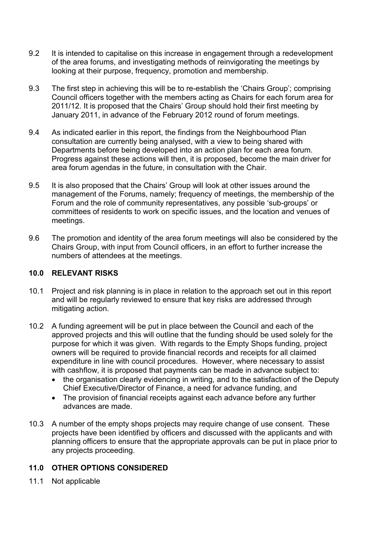- 9.2 It is intended to capitalise on this increase in engagement through a redevelopment of the area forums, and investigating methods of reinvigorating the meetings by looking at their purpose, frequency, promotion and membership.
- 9.3 The first step in achieving this will be to re-establish the 'Chairs Group'; comprising Council officers together with the members acting as Chairs for each forum area for 2011/12. It is proposed that the Chairs' Group should hold their first meeting by January 2011, in advance of the February 2012 round of forum meetings.
- 9.4 As indicated earlier in this report, the findings from the Neighbourhood Plan consultation are currently being analysed, with a view to being shared with Departments before being developed into an action plan for each area forum. Progress against these actions will then, it is proposed, become the main driver for area forum agendas in the future, in consultation with the Chair.
- 9.5 It is also proposed that the Chairs' Group will look at other issues around the management of the Forums, namely; frequency of meetings, the membership of the Forum and the role of community representatives, any possible 'sub-groups' or committees of residents to work on specific issues, and the location and venues of meetings.
- 9.6 The promotion and identity of the area forum meetings will also be considered by the Chairs Group, with input from Council officers, in an effort to further increase the numbers of attendees at the meetings.

#### **10.0 RELEVANT RISKS**

- 10.1 Project and risk planning is in place in relation to the approach set out in this report and will be regularly reviewed to ensure that key risks are addressed through mitigating action.
- 10.2 A funding agreement will be put in place between the Council and each of the approved projects and this will outline that the funding should be used solely for the purpose for which it was given. With regards to the Empty Shops funding, project owners will be required to provide financial records and receipts for all claimed expenditure in line with council procedures. However, where necessary to assist with cashflow, it is proposed that payments can be made in advance subject to:
	- the organisation clearly evidencing in writing, and to the satisfaction of the Deputy Chief Executive/Director of Finance, a need for advance funding, and
	- The provision of financial receipts against each advance before any further advances are made.
- 10.3 A number of the empty shops projects may require change of use consent. These projects have been identified by officers and discussed with the applicants and with planning officers to ensure that the appropriate approvals can be put in place prior to any projects proceeding.

### **11.0 OTHER OPTIONS CONSIDERED**

11.1 Not applicable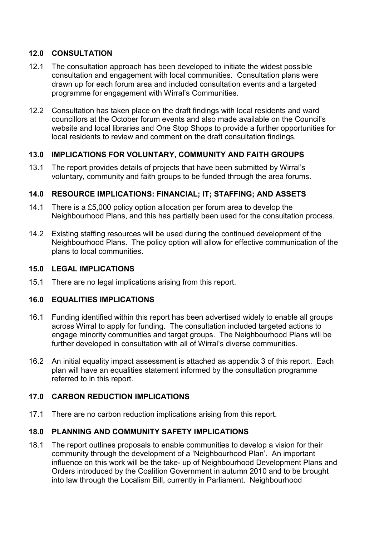## **12.0 CONSULTATION**

- 12.1 The consultation approach has been developed to initiate the widest possible consultation and engagement with local communities. Consultation plans were drawn up for each forum area and included consultation events and a targeted programme for engagement with Wirral's Communities.
- 12.2 Consultation has taken place on the draft findings with local residents and ward councillors at the October forum events and also made available on the Council's website and local libraries and One Stop Shops to provide a further opportunities for local residents to review and comment on the draft consultation findings.

### **13.0 IMPLICATIONS FOR VOLUNTARY, COMMUNITY AND FAITH GROUPS**

13.1 The report provides details of projects that have been submitted by Wirral's voluntary, community and faith groups to be funded through the area forums.

## **14.0 RESOURCE IMPLICATIONS: FINANCIAL; IT; STAFFING; AND ASSETS**

- 14.1 There is a £5,000 policy option allocation per forum area to develop the Neighbourhood Plans, and this has partially been used for the consultation process.
- 14.2 Existing staffing resources will be used during the continued development of the Neighbourhood Plans. The policy option will allow for effective communication of the plans to local communities.

### **15.0 LEGAL IMPLICATIONS**

15.1 There are no legal implications arising from this report.

### **16.0 EQUALITIES IMPLICATIONS**

- 16.1 Funding identified within this report has been advertised widely to enable all groups across Wirral to apply for funding. The consultation included targeted actions to engage minority communities and target groups. The Neighbourhood Plans will be further developed in consultation with all of Wirral's diverse communities.
- 16.2 An initial equality impact assessment is attached as appendix 3 of this report. Each plan will have an equalities statement informed by the consultation programme referred to in this report.

### **17.0 CARBON REDUCTION IMPLICATIONS**

17.1 There are no carbon reduction implications arising from this report.

### **18.0 PLANNING AND COMMUNITY SAFETY IMPLICATIONS**

18.1 The report outlines proposals to enable communities to develop a vision for their community through the development of a 'Neighbourhood Plan'. An important influence on this work will be the take- up of Neighbourhood Development Plans and Orders introduced by the Coalition Government in autumn 2010 and to be brought into law through the Localism Bill, currently in Parliament. Neighbourhood